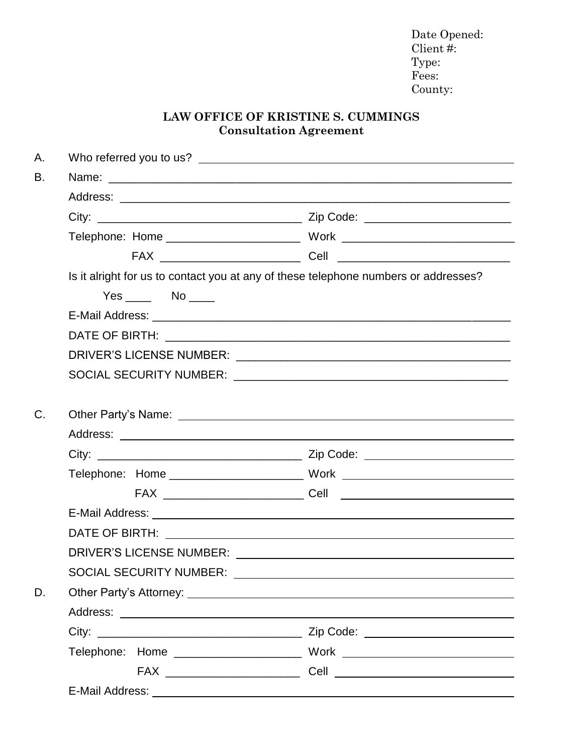Date Opened: Client #: Type: Fees: County:

## **LAW OFFICE OF KRISTINE S. CUMMINGS Consultation Agreement**

| А. |                                                                                     |  |
|----|-------------------------------------------------------------------------------------|--|
| В. |                                                                                     |  |
|    |                                                                                     |  |
|    |                                                                                     |  |
|    |                                                                                     |  |
|    |                                                                                     |  |
|    | Is it alright for us to contact you at any of these telephone numbers or addresses? |  |
|    | $Yes$ No $\qquad$                                                                   |  |
|    |                                                                                     |  |
|    |                                                                                     |  |
|    |                                                                                     |  |
|    |                                                                                     |  |
|    |                                                                                     |  |
| C. |                                                                                     |  |
|    |                                                                                     |  |
|    |                                                                                     |  |
|    |                                                                                     |  |
|    |                                                                                     |  |
|    |                                                                                     |  |
|    |                                                                                     |  |
|    |                                                                                     |  |
|    | <b>SOCIAL SECURITY NUMBER:</b>                                                      |  |
| D. |                                                                                     |  |
|    |                                                                                     |  |
|    |                                                                                     |  |
|    |                                                                                     |  |
|    |                                                                                     |  |
|    |                                                                                     |  |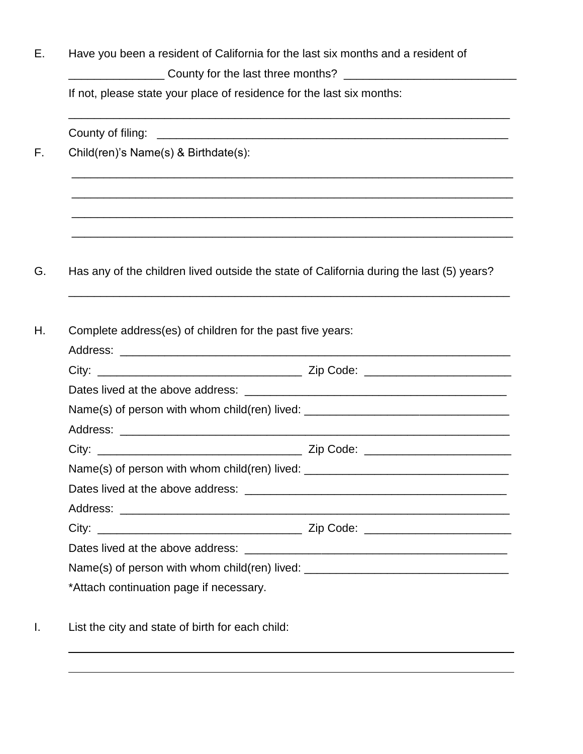| Have you been a resident of California for the last six months and a resident of<br>____________________County for the last three months? __________________________<br>If not, please state your place of residence for the last six months: |  |  |  |
|-----------------------------------------------------------------------------------------------------------------------------------------------------------------------------------------------------------------------------------------------|--|--|--|
|                                                                                                                                                                                                                                               |  |  |  |
| Child(ren)'s Name(s) & Birthdate(s):                                                                                                                                                                                                          |  |  |  |
|                                                                                                                                                                                                                                               |  |  |  |
| Has any of the children lived outside the state of California during the last (5) years?                                                                                                                                                      |  |  |  |
| Complete address(es) of children for the past five years:                                                                                                                                                                                     |  |  |  |
|                                                                                                                                                                                                                                               |  |  |  |
|                                                                                                                                                                                                                                               |  |  |  |
|                                                                                                                                                                                                                                               |  |  |  |
| Name(s) of person with whom child(ren) lived: __________________________________                                                                                                                                                              |  |  |  |
|                                                                                                                                                                                                                                               |  |  |  |
|                                                                                                                                                                                                                                               |  |  |  |
|                                                                                                                                                                                                                                               |  |  |  |
| Name(s) of person with whom child(ren) lived: __________________________________                                                                                                                                                              |  |  |  |
|                                                                                                                                                                                                                                               |  |  |  |
|                                                                                                                                                                                                                                               |  |  |  |
|                                                                                                                                                                                                                                               |  |  |  |
|                                                                                                                                                                                                                                               |  |  |  |
| Name(s) of person with whom child(ren) lived: __________________________________<br>*Attach continuation page if necessary.                                                                                                                   |  |  |  |
| List the city and state of birth for each child:                                                                                                                                                                                              |  |  |  |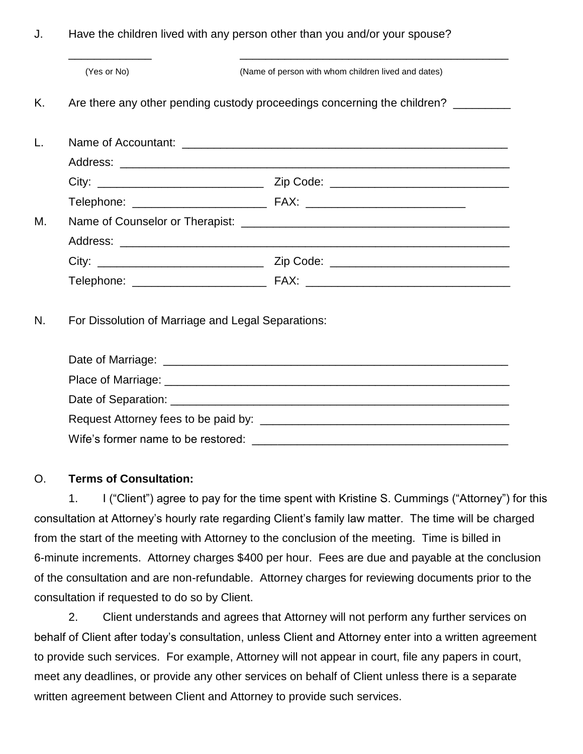J. Have the children lived with any person other than you and/or your spouse?

|    | (Yes or No)                                                                       | (Name of person with whom children lived and dates) |  |
|----|-----------------------------------------------------------------------------------|-----------------------------------------------------|--|
| Κ. | Are there any other pending custody proceedings concerning the children? ________ |                                                     |  |
|    |                                                                                   |                                                     |  |
|    |                                                                                   |                                                     |  |
|    |                                                                                   |                                                     |  |
|    |                                                                                   |                                                     |  |
| М. |                                                                                   |                                                     |  |
|    |                                                                                   |                                                     |  |
|    |                                                                                   |                                                     |  |
|    |                                                                                   |                                                     |  |
| N. | For Dissolution of Marriage and Legal Separations:                                |                                                     |  |
|    |                                                                                   |                                                     |  |
|    |                                                                                   |                                                     |  |
|    |                                                                                   |                                                     |  |
|    | Wife's former name to be restored:                                                |                                                     |  |

## O. **Terms of Consultation:**

1. I ("Client") agree to pay for the time spent with Kristine S. Cummings ("Attorney") for this consultation at Attorney's hourly rate regarding Client's family law matter. The time will be charged from the start of the meeting with Attorney to the conclusion of the meeting. Time is billed in 6-minute increments. Attorney charges \$400 per hour. Fees are due and payable at the conclusion of the consultation and are non-refundable. Attorney charges for reviewing documents prior to the consultation if requested to do so by Client.

2. Client understands and agrees that Attorney will not perform any further services on behalf of Client after today's consultation, unless Client and Attorney enter into a written agreement to provide such services. For example, Attorney will not appear in court, file any papers in court, meet any deadlines, or provide any other services on behalf of Client unless there is a separate written agreement between Client and Attorney to provide such services.